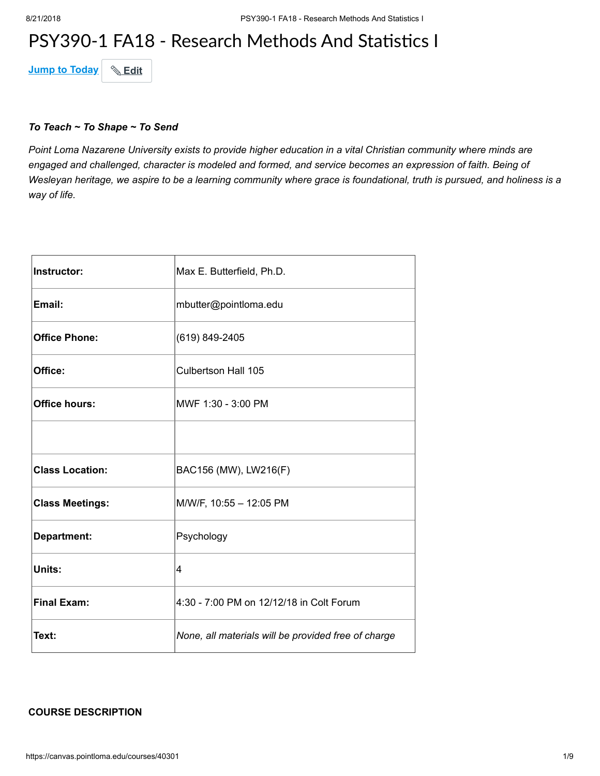## PSY390-1 FA18 - Research Methods And Statistics I

**Jump to Today & Edit** 

#### *To Teach ~ To Shape ~ To Send*

*Point Loma Nazarene University exists to provide higher education in a vital Christian community where minds are engaged and challenged, character is modeled and formed, and service becomes an expression of faith. Being of Wesleyan heritage, we aspire to be a learning community where grace is foundational, truth is pursued, and holiness is a way of life.*

| <b>Instructor:</b>     | Max E. Butterfield, Ph.D.                           |
|------------------------|-----------------------------------------------------|
| Email:                 | mbutter@pointloma.edu                               |
| <b>Office Phone:</b>   | (619) 849-2405                                      |
| Office:                | Culbertson Hall 105                                 |
| <b>Office hours:</b>   | MWF 1:30 - 3:00 PM                                  |
|                        |                                                     |
| <b>Class Location:</b> | BAC156 (MW), LW216(F)                               |
| <b>Class Meetings:</b> | M/W/F, 10:55 - 12:05 PM                             |
| Department:            | Psychology                                          |
| Units:                 | 4                                                   |
| <b>Final Exam:</b>     | 4:30 - 7:00 PM on 12/12/18 in Colt Forum            |
| Text:                  | None, all materials will be provided free of charge |

#### **COURSE DESCRIPTION**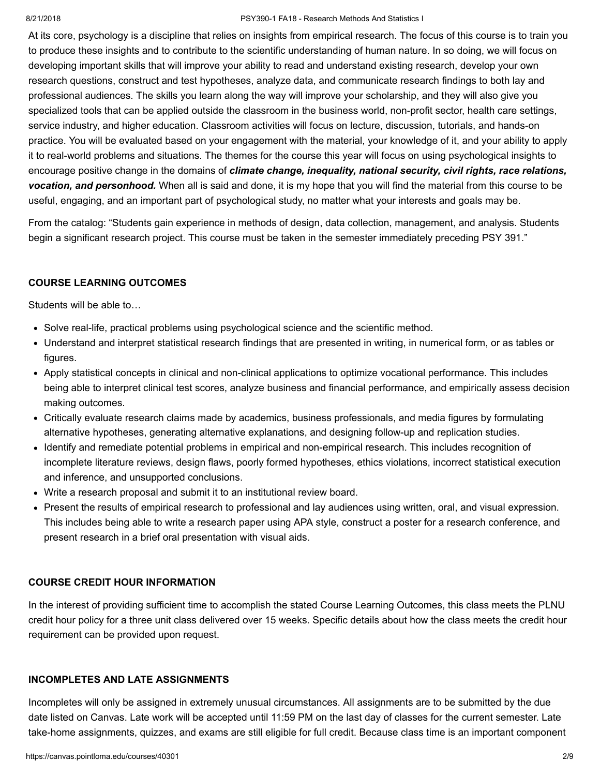#### 8/21/2018 PSY390-1 FA18 - Research Methods And Statistics I

At its core, psychology is a discipline that relies on insights from empirical research. The focus of this course is to train you to produce these insights and to contribute to the scientific understanding of human nature. In so doing, we will focus on developing important skills that will improve your ability to read and understand existing research, develop your own research questions, construct and test hypotheses, analyze data, and communicate research findings to both lay and professional audiences. The skills you learn along the way will improve your scholarship, and they will also give you specialized tools that can be applied outside the classroom in the business world, non-profit sector, health care settings, service industry, and higher education. Classroom activities will focus on lecture, discussion, tutorials, and hands-on practice. You will be evaluated based on your engagement with the material, your knowledge of it, and your ability to apply it to real-world problems and situations. The themes for the course this year will focus on using psychological insights to encourage positive change in the domains of *climate change, inequality, national security, civil rights, race relations, vocation, and personhood.* When all is said and done, it is my hope that you will find the material from this course to be useful, engaging, and an important part of psychological study, no matter what your interests and goals may be.

From the catalog: "Students gain experience in methods of design, data collection, management, and analysis. Students begin a significant research project. This course must be taken in the semester immediately preceding PSY 391."

#### **COURSE LEARNING OUTCOMES**

Students will be able to…

- Solve real-life, practical problems using psychological science and the scientific method.
- Understand and interpret statistical research findings that are presented in writing, in numerical form, or as tables or figures.
- Apply statistical concepts in clinical and non-clinical applications to optimize vocational performance. This includes being able to interpret clinical test scores, analyze business and financial performance, and empirically assess decision making outcomes.
- Critically evaluate research claims made by academics, business professionals, and media figures by formulating alternative hypotheses, generating alternative explanations, and designing follow-up and replication studies.
- Identify and remediate potential problems in empirical and non-empirical research. This includes recognition of incomplete literature reviews, design flaws, poorly formed hypotheses, ethics violations, incorrect statistical execution and inference, and unsupported conclusions.
- Write a research proposal and submit it to an institutional review board.
- Present the results of empirical research to professional and lay audiences using written, oral, and visual expression. This includes being able to write a research paper using APA style, construct a poster for a research conference, and present research in a brief oral presentation with visual aids.

#### **COURSE CREDIT HOUR INFORMATION**

In the interest of providing sufficient time to accomplish the stated Course Learning Outcomes, this class meets the PLNU credit hour policy for a three unit class delivered over 15 weeks. Specific details about how the class meets the credit hour requirement can be provided upon request.

#### **INCOMPLETES AND LATE ASSIGNMENTS**

Incompletes will only be assigned in extremely unusual circumstances. All assignments are to be submitted by the due date listed on Canvas. Late work will be accepted until 11:59 PM on the last day of classes for the current semester. Late take-home assignments, quizzes, and exams are still eligible for full credit. Because class time is an important component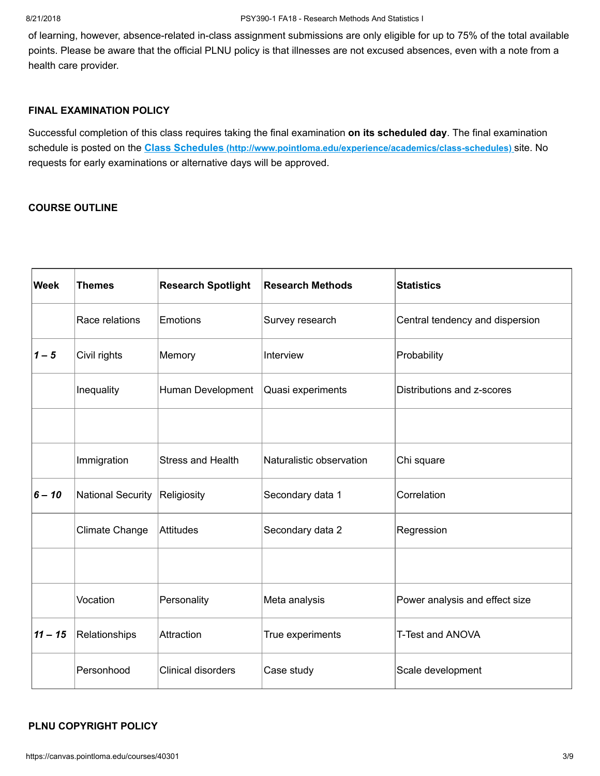of learning, however, absence-related in-class assignment submissions are only eligible for up to 75% of the total available points. Please be aware that the official PLNU policy is that illnesses are not excused absences, even with a note from a health care provider.

## **FINAL EXAMINATION POLICY**

Successful completion of this class requires taking the final examination **on its scheduled day**. The final examination schedule is posted on the **Class Schedules [\(http://www.pointloma.edu/experience/academics/class-schedules\)](http://www.pointloma.edu/experience/academics/class-schedules)** site. No requests for early examinations or alternative days will be approved.

## **COURSE OUTLINE**

| <b>Week</b> | <b>Themes</b>         | <b>Research Spotlight</b> | <b>Research Methods</b>  | <b>Statistics</b>               |
|-------------|-----------------------|---------------------------|--------------------------|---------------------------------|
|             | Race relations        | Emotions                  | Survey research          | Central tendency and dispersion |
| $1 - 5$     | Civil rights          | Memory                    | Interview                | Probability                     |
|             | Inequality            | Human Development         | Quasi experiments        | Distributions and z-scores      |
|             |                       |                           |                          |                                 |
|             | Immigration           | <b>Stress and Health</b>  | Naturalistic observation | Chi square                      |
| $6 - 10$    | National Security     | Religiosity               | Secondary data 1         | Correlation                     |
|             | <b>Climate Change</b> | Attitudes                 | Secondary data 2         | Regression                      |
|             |                       |                           |                          |                                 |
|             | Vocation              | Personality               | Meta analysis            | Power analysis and effect size  |
| $11 - 15$   | Relationships         | Attraction                | True experiments         | T-Test and ANOVA                |
|             | Personhood            | <b>Clinical disorders</b> | Case study               | Scale development               |

#### **PLNU COPYRIGHT POLICY**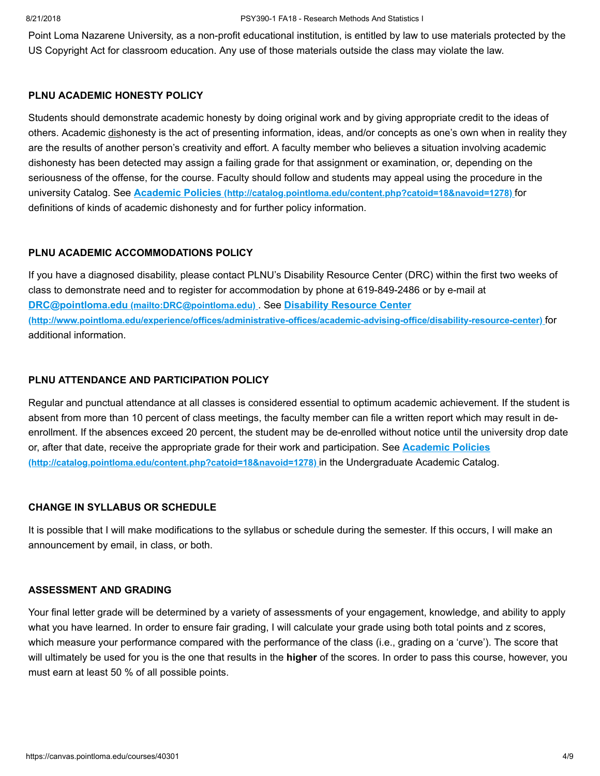#### 8/21/2018 PSY390-1 FA18 - Research Methods And Statistics I

Point Loma Nazarene University, as a non-profit educational institution, is entitled by law to use materials protected by the US Copyright Act for classroom education. Any use of those materials outside the class may violate the law.

#### **PLNU ACADEMIC HONESTY POLICY**

Students should demonstrate academic honesty by doing original work and by giving appropriate credit to the ideas of others. Academic dishonesty is the act of presenting information, ideas, and/or concepts as one's own when in reality they are the results of another person's creativity and effort. A faculty member who believes a situation involving academic dishonesty has been detected may assign a failing grade for that assignment or examination, or, depending on the seriousness of the offense, for the course. Faculty should follow and students may appeal using the procedure in the university Catalog. See **Academic Policies [\(http://catalog.pointloma.edu/content.php?catoid=18&navoid=1278\)](http://catalog.pointloma.edu/content.php?catoid=18&navoid=1278)** for definitions of kinds of academic dishonesty and for further policy information.

## **PLNU ACADEMIC ACCOMMODATIONS POLICY**

If you have a diagnosed disability, please contact PLNU's Disability Resource Center (DRC) within the first two weeks of class to demonstrate need and to register for accommodation by phone at 619-849-2486 or by e-mail at **DRC@pointloma.edu [\(mailto:DRC@pointloma.edu\)](mailto:DRC@pointloma.edu)** . See **Disability Resource Center [\(http://www.pointloma.edu/experience/offices/administrative-offices/academic-advising-office/disability-resource-center\)](http://www.pointloma.edu/experience/offices/administrative-offices/academic-advising-office/disability-resource-center)** for additional information.

## **PLNU ATTENDANCE AND PARTICIPATION POLICY**

Regular and punctual attendance at all classes is considered essential to optimum academic achievement. If the student is absent from more than 10 percent of class meetings, the faculty member can file a written report which may result in deenrollment. If the absences exceed 20 percent, the student may be de-enrolled without notice until the university drop date [or, after that date, receive the appropriate grade for their work and participation. See](http://catalog.pointloma.edu/content.php?catoid=18&navoid=1278) **Academic Policies (http://catalog.pointloma.edu/content.php?catoid=18&navoid=1278)** in the Undergraduate Academic Catalog.

#### **CHANGE IN SYLLABUS OR SCHEDULE**

It is possible that I will make modifications to the syllabus or schedule during the semester. If this occurs, I will make an announcement by email, in class, or both.

#### **ASSESSMENT AND GRADING**

Your final letter grade will be determined by a variety of assessments of your engagement, knowledge, and ability to apply what you have learned. In order to ensure fair grading, I will calculate your grade using both total points and z scores, which measure your performance compared with the performance of the class (i.e., grading on a 'curve'). The score that will ultimately be used for you is the one that results in the **higher** of the scores. In order to pass this course, however, you must earn at least 50 % of all possible points.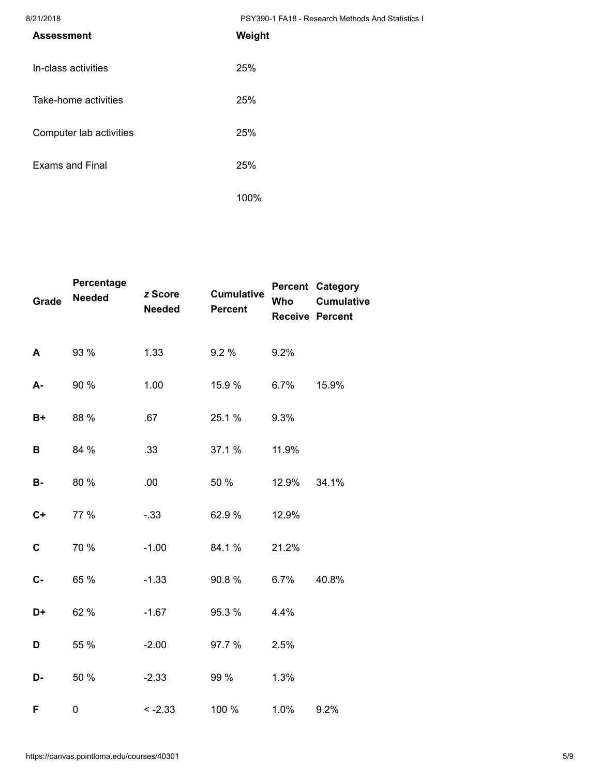8/21/2018 PSY390-1 FA18 - Research Methods And Statistics I

| <b>Assessment</b>       | Weight |
|-------------------------|--------|
| In-class activities     | 25%    |
| Take-home activities    | 25%    |
| Computer lab activities | 25%    |
| <b>Exams and Final</b>  | 25%    |
|                         | 100%   |

| <b>Grade</b> | Percentage<br><b>Needed</b> | z Score<br><b>Needed</b> | <b>Cumulative</b><br><b>Percent</b> | Who   | <b>Percent Category</b><br><b>Cumulative</b><br><b>Receive Percent</b> |
|--------------|-----------------------------|--------------------------|-------------------------------------|-------|------------------------------------------------------------------------|
| A            | 93 %                        | 1.33                     | 9.2%                                | 9.2%  |                                                                        |
| A-           | 90 %                        | 1.00                     | 15.9 %                              | 6.7%  | 15.9%                                                                  |
| B+           | 88 %                        | .67                      | 25.1 %                              | 9.3%  |                                                                        |
| В            | 84 %                        | .33                      | 37.1 %                              | 11.9% |                                                                        |
| <b>B-</b>    | 80 %                        | .00                      | 50 %                                | 12.9% | 34.1%                                                                  |
| $C+$         | 77 %                        | $-33$                    | 62.9%                               | 12.9% |                                                                        |
| C            | 70 %                        | $-1.00$                  | 84.1%                               | 21.2% |                                                                        |
| $C -$        | 65 %                        | $-1.33$                  | 90.8%                               | 6.7%  | 40.8%                                                                  |
| D+           | 62 %                        | $-1.67$                  | 95.3 %                              | 4.4%  |                                                                        |
| D            | 55 %                        | $-2.00$                  | 97.7 %                              | 2.5%  |                                                                        |
| D-           | 50 %                        | $-2.33$                  | 99 %                                | 1.3%  |                                                                        |
| F            | 0                           | $< -2.33$                | 100 %                               | 1.0%  | 9.2%                                                                   |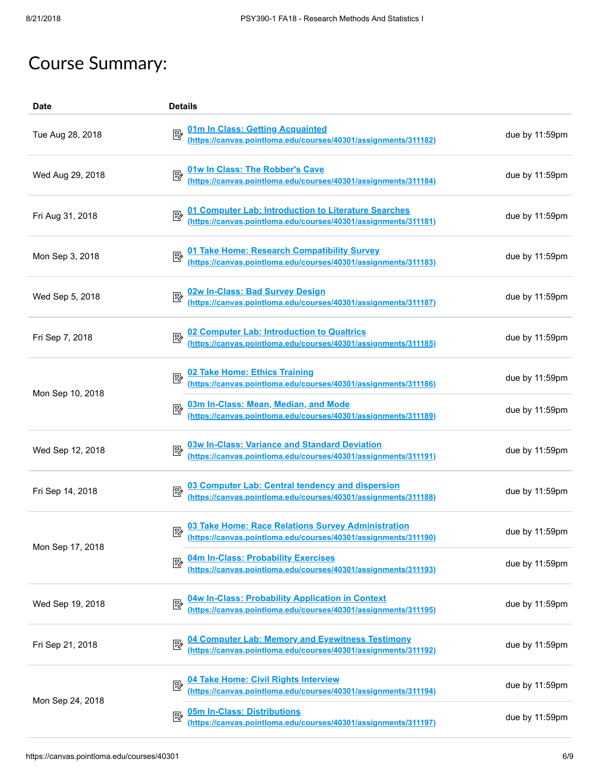# Course Summary:

| <b>Date</b>      | <b>Details</b>                                                                                                             |                |
|------------------|----------------------------------------------------------------------------------------------------------------------------|----------------|
| Tue Aug 28, 2018 | 01m In Class: Getting Acquainted<br>(https://canvas.pointloma.edu/courses/40301/assignments/311182)                        | due by 11:59pm |
| Wed Aug 29, 2018 | 01w In Class: The Robber's Cave<br>(https://canvas.pointloma.edu/courses/40301/assignments/311184)                         | due by 11:59pm |
| Fri Aug 31, 2018 | 01 Computer Lab: Introduction to Literature Searches<br>(https://canvas.pointloma.edu/courses/40301/assignments/311181)    | due by 11:59pm |
| Mon Sep 3, 2018  | 01 Take Home: Research Compatibility Survey.<br>(https://canvas.pointloma.edu/courses/40301/assignments/311183)            | due by 11:59pm |
| Wed Sep 5, 2018  | 02w In-Class: Bad Survey Design<br>(https://canvas.pointloma.edu/courses/40301/assignments/311187)                         | due by 11:59pm |
| Fri Sep 7, 2018  | 02 Computer Lab: Introduction to Qualtrics<br>(https://canvas.pointloma.edu/courses/40301/assignments/311185)              | due by 11:59pm |
| Mon Sep 10, 2018 | 02 Take Home: Ethics Training<br>(https://canvas.pointloma.edu/courses/40301/assignments/311186)                           | due by 11:59pm |
|                  | 03m In-Class: Mean, Median, and Mode<br>(https://canvas.pointloma.edu/courses/40301/assignments/311189)<br>國               | due by 11:59pm |
| Wed Sep 12, 2018 | 03w In-Class: Variance and Standard Deviation<br>(https://canvas.pointloma.edu/courses/40301/assignments/311191)           | due by 11:59pm |
| Fri Sep 14, 2018 | 03 Computer Lab: Central tendency and dispersion<br>(https://canvas.pointloma.edu/courses/40301/assignments/311188)        | due by 11:59pm |
| Mon Sep 17, 2018 | 03 Take Home: Race Relations Survey Administration<br>(https://canvas.pointloma.edu/courses/40301/assignments/311190)      | due by 11:59pm |
|                  | 04m In-Class: Probability Exercises<br>國<br>(https://canvas.pointloma.edu/courses/40301/assignments/311193)                | due by 11:59pm |
| Wed Sep 19, 2018 | 04w In-Class: Probability Application in Context<br>(https://canvas.pointloma.edu/courses/40301/assignments/311195)<br>國   | due by 11:59pm |
| Fri Sep 21, 2018 | 04 Computer Lab: Memory and Eyewitness Testimony.<br>(https://canvas.pointloma.edu/courses/40301/assignments/311192).<br>國 | due by 11:59pm |
| Mon Sep 24, 2018 | 04 Take Home: Civil Rights Interview<br>(https://canvas.pointloma.edu/courses/40301/assignments/311194)<br>國               | due by 11:59pm |
|                  | 05m In-Class: Distributions<br>國<br>(https://canvas.pointloma.edu/courses/40301/assignments/311197)                        | due by 11:59pm |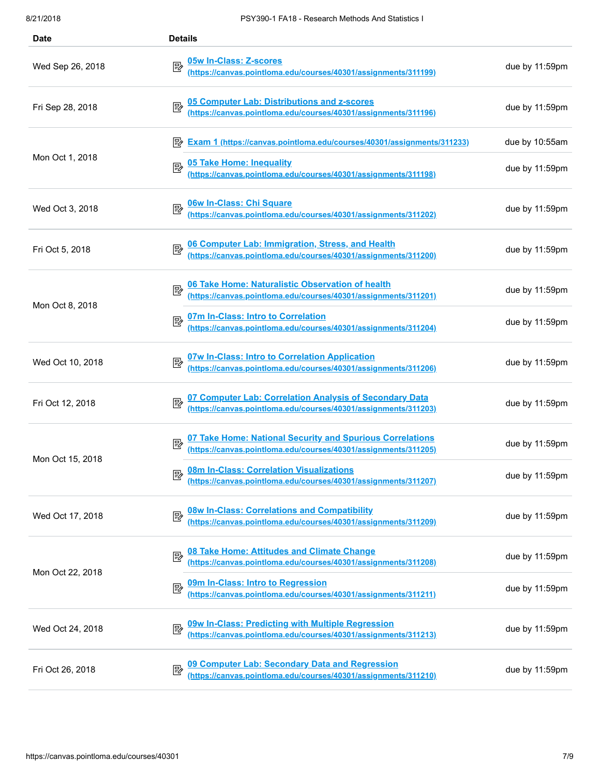| <b>Date</b>      | <b>Details</b>                                                                                                                                   |                |
|------------------|--------------------------------------------------------------------------------------------------------------------------------------------------|----------------|
| Wed Sep 26, 2018 | 05w In-Class: Z-scores<br>國<br><u>cow m-orass: 2-scores</u><br>(https://canvas.pointloma.edu/courses/40301/assignments/311199)                   | due by 11:59pm |
| Fri Sep 28, 2018 | 05 Computer Lab: Distributions and z-scores<br>(https://canvas.pointloma.edu/courses/40301/assignments/311196)                                   | due by 11:59pm |
|                  | Exam 1 (https://canvas.pointloma.edu/courses/40301/assignments/311233)                                                                           | due by 10:55am |
| Mon Oct 1, 2018  | 05 Take Home: Inequality 05 Take Home: 05 Take Home: 05 Take Home: 05 Take Multips://canvas.pointloma.edu/courses/40301/assignments/311198)<br>國 | due by 11:59pm |
| Wed Oct 3, 2018  | 06w In-Class: Chi Square<br>(https://canvas.pointloma.edu/courses/40301/assignments/311202)                                                      | due by 11:59pm |
| Fri Oct 5, 2018  | 06 Computer Lab: Immigration, Stress, and Health<br>(https://canvas.pointloma.edu/courses/40301/assignments/311200)                              | due by 11:59pm |
| Mon Oct 8, 2018  | 06 Take Home: Naturalistic Observation of health<br>(https://canvas.pointloma.edu/courses/40301/assignments/311201)<br>國                         | due by 11:59pm |
|                  | 07m In-Class: Intro to Correlation<br>(https://canvas.pointloma.edu/courses/40301/assignments/311204)<br>國                                       | due by 11:59pm |
| Wed Oct 10, 2018 | 07w In-Class: Intro to Correlation Application<br>(https://canvas.pointloma.edu/courses/40301/assignments/311206)                                | due by 11:59pm |
| Fri Oct 12, 2018 | 07 Computer Lab: Correlation Analysis of Secondary Data<br>(https://canvas.pointloma.edu/courses/40301/assignments/311203)                       | due by 11:59pm |
| Mon Oct 15, 2018 | 07 Take Home: National Security and Spurious Correlations<br>(https://canvas.pointloma.edu/courses/40301/assignments/311205)<br>₽                | due by 11:59pm |
|                  | 08m In-Class: Correlation Visualizations<br>(https://canvas.pointloma.edu/courses/40301/assignments/311207)<br>國                                 | due by 11:59pm |
| Wed Oct 17, 2018 | 08w In-Class: Correlations and Compatibility<br>(https://canvas.pointloma.edu/courses/40301/assignments/311209)<br>國                             | due by 11:59pm |
| Mon Oct 22, 2018 | 08 Take Home: Attitudes and Climate Change<br>(https://canvas.pointloma.edu/courses/40301/assignments/311208)<br>國                               | due by 11:59pm |
|                  | 09m In-Class: Intro to Regression<br>暨<br>(https://canvas.pointloma.edu/courses/40301/assignments/311211)                                        | due by 11:59pm |
| Wed Oct 24, 2018 | 09w In-Class: Predicting with Multiple Regression<br>國<br>(https://canvas.pointloma.edu/courses/40301/assignments/311213)                        | due by 11:59pm |
| Fri Oct 26, 2018 | 09 Computer Lab: Secondary Data and Regression<br>(https://canvas.pointloma.edu/courses/40301/assignments/311210)<br>暨                           | due by 11:59pm |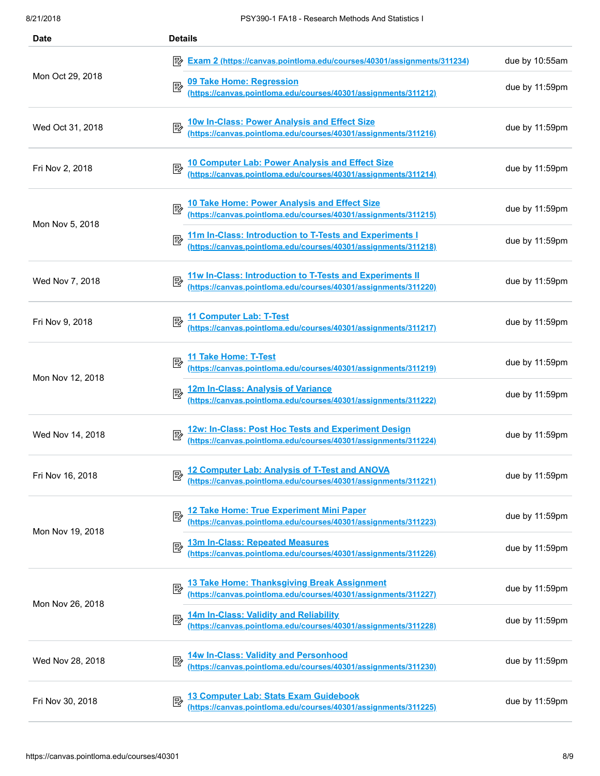| <b>Date</b>      | <b>Details</b>                                                                                                              |                |
|------------------|-----------------------------------------------------------------------------------------------------------------------------|----------------|
|                  | Exam 2 (https://canvas.pointloma.edu/courses/40301/assignments/311234)                                                      | due by 10:55am |
| Mon Oct 29, 2018 | 09 Take Home: Regression<br>(https://canvas.pointloma.edu/courses/40301/assignments/311212)<br>國                            | due by 11:59pm |
| Wed Oct 31, 2018 | 10w In-Class: Power Analysis and Effect Size<br>(https://canvas.pointloma.edu/courses/40301/assignments/311216)             | due by 11:59pm |
| Fri Nov 2, 2018  | 10 Computer Lab: Power Analysis and Effect Size<br>(https://canvas.pointloma.edu/courses/40301/assignments/311214)          | due by 11:59pm |
| Mon Nov 5, 2018  | 10 Take Home: Power Analysis and Effect Size<br>(https://canvas.pointloma.edu/courses/40301/assignments/311215)             | due by 11:59pm |
|                  | 11m In-Class: Introduction to T-Tests and Experiments I<br>(https://canvas.pointloma.edu/courses/40301/assignments/311218)  | due by 11:59pm |
| Wed Nov 7, 2018  | 11w In-Class: Introduction to T-Tests and Experiments II<br>(https://canvas.pointloma.edu/courses/40301/assignments/311220) | due by 11:59pm |
| Fri Nov 9, 2018  | 11 Computer Lab: T-Test<br>(https://canvas.pointloma.edu/courses/40301/assignments/311217)                                  | due by 11:59pm |
| Mon Nov 12, 2018 | 11 Take Home: T-Test<br>(https://canvas.pointloma.edu/courses/40301/assignments/311219)                                     | due by 11:59pm |
|                  | 12m In-Class: Analysis of Variance<br>(https://canvas.pointloma.edu/courses/40301/assignments/311222)<br>郾                  | due by 11:59pm |
| Wed Nov 14, 2018 | 12w: In-Class: Post Hoc Tests and Experiment Design<br>(https://canvas.pointloma.edu/courses/40301/assignments/311224)      | due by 11:59pm |
| Fri Nov 16, 2018 | 12 Computer Lab: Analysis of T-Test and ANOVA<br>(https://canvas.pointloma.edu/courses/40301/assignments/311221)            | due by 11:59pm |
| Mon Nov 19, 2018 | 12 Take Home: True Experiment Mini Paper<br>(https://canvas.pointloma.edu/courses/40301/assignments/311223)<br>國            | due by 11:59pm |
|                  | 13m In-Class: Repeated Measures<br>國<br>(https://canvas.pointloma.edu/courses/40301/assignments/311226)                     | due by 11:59pm |
| Mon Nov 26, 2018 | 13 Take Home: Thanksgiving Break Assignment<br>(https://canvas.pointloma.edu/courses/40301/assignments/311227)<br>國         | due by 11:59pm |
|                  | 14m In-Class: Validity and Reliability<br>(https://canvas.pointloma.edu/courses/40301/assignments/311228)<br>國              | due by 11:59pm |
| Wed Nov 28, 2018 | 14w In-Class: Validity and Personhood<br>(https://canvas.pointloma.edu/courses/40301/assignments/311230)<br>國               | due by 11:59pm |
| Fri Nov 30, 2018 | 13 Computer Lab: Stats Exam Guidebook<br>國<br>(https://canvas.pointloma.edu/courses/40301/assignments/311225)               | due by 11:59pm |